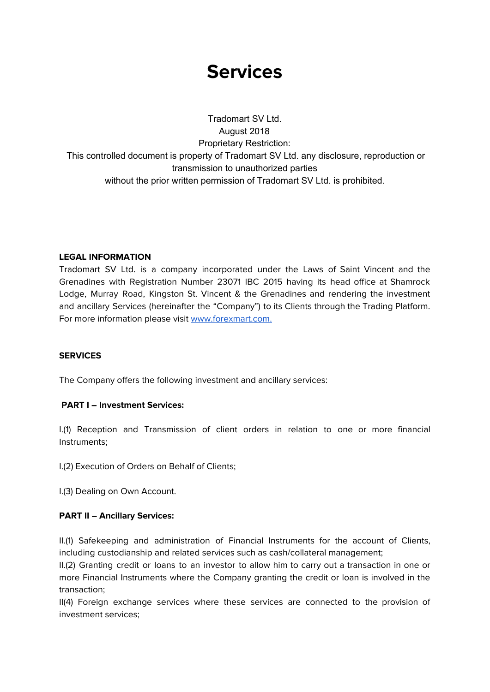# **Services**

Tradomart SV Ltd. August 2018 Proprietary Restriction: This controlled document is property of Tradomart SV Ltd. any disclosure, reproduction or transmission to unauthorized parties without the prior written permission of Tradomart SV Ltd. is prohibited.

## **LEGAL INFORMATION**

Tradomart SV Ltd. is a company incorporated under the Laws of Saint Vincent and the Grenadines with Registration Number 23071 IBC 2015 having its head office at Shamrock Lodge, Murray Road, Kingston St. Vincent & the Grenadines and rendering the investment and ancillary Services (hereinafter the "Company") to its Clients through the Trading Platform. For more information please visit [www.forexmart.com](http://www.forexmart.com/).

### **SERVICES**

The Company offers the following investment and ancillary services:

### **PART I – Investment Services:**

I.(1) Reception and Transmission of client orders in relation to one or more financial Instruments;

I.(2) Execution of Orders on Behalf of Clients;

I.(3) Dealing on Own Account.

### **PART II – Ancillary Services:**

II.(1) Safekeeping and administration of Financial Instruments for the account of Clients, including custodianship and related services such as cash/collateral management;

II.(2) Granting credit or loans to an investor to allow him to carry out a transaction in one or more Financial Instruments where the Company granting the credit or loan is involved in the transaction;

II(4) Foreign exchange services where these services are connected to the provision of investment services;